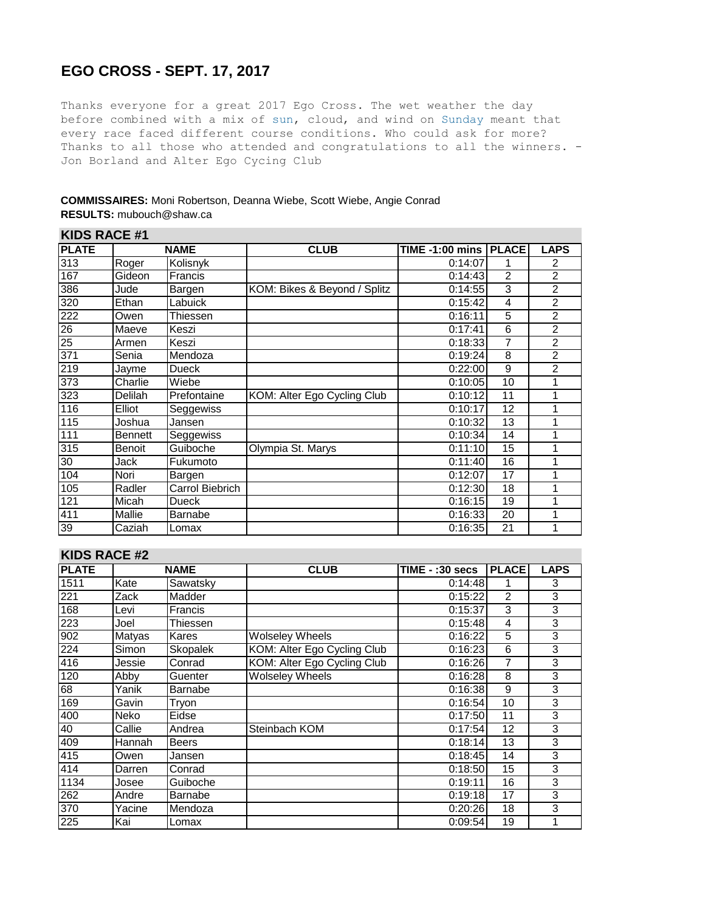## **EGO CROSS - SEPT. 17, 2017**

Thanks everyone for a great 2017 Ego Cross. The wet weather the day before combined with a mix of sun, cloud, and wind on Sunday meant that every race faced different course conditions. Who could ask for more? Thanks to all those who attended and congratulations to all the winners. -Jon Borland and Alter Ego Cycing Club

#### **COMMISSAIRES:** Moni Robertson, Deanna Wiebe, Scott Wiebe, Angie Conrad **RESULTS:** mubouch@shaw.ca

|                  | KIDS RACE #1   |                 |                              |                         |                |                |  |  |  |  |
|------------------|----------------|-----------------|------------------------------|-------------------------|----------------|----------------|--|--|--|--|
| <b>PLATE</b>     |                | <b>NAME</b>     | <b>CLUB</b>                  | TIME -1:00 mins   PLACE |                | <b>LAPS</b>    |  |  |  |  |
| $\overline{313}$ | Roger          | Kolisnyk        |                              | 0:14:07                 |                | 2              |  |  |  |  |
| 167              | Gideon         | Francis         |                              | 0:14:43                 | $\overline{2}$ | 2              |  |  |  |  |
| 386              | Jude           | Bargen          | KOM: Bikes & Beyond / Splitz | 0:14:55                 | 3              | 2              |  |  |  |  |
| 320              | Ethan          | Labuick         |                              | 0:15:42                 | 4              | $\overline{2}$ |  |  |  |  |
| 222              | Owen           | Thiessen        |                              | 0:16:11                 | 5              | 2              |  |  |  |  |
| $\overline{26}$  | Maeve          | Keszi           |                              | 0:17:41                 | 6              | 2              |  |  |  |  |
| $\overline{25}$  | Armen          | Keszi           |                              | 0:18:33                 | $\overline{7}$ | $\overline{2}$ |  |  |  |  |
| $\overline{371}$ | Senia          | Mendoza         |                              | 0:19:24                 | 8              | 2              |  |  |  |  |
| 219              | Jayme          | <b>Dueck</b>    |                              | 0:22:00                 | 9              | 2              |  |  |  |  |
| $\overline{373}$ | Charlie        | Wiebe           |                              | 0:10:05                 | 10             |                |  |  |  |  |
| 323              | Delilah        | Prefontaine     | KOM: Alter Ego Cycling Club  | 0:10:12                 | 11             |                |  |  |  |  |
| 116              | Elliot         | Seggewiss       |                              | 0:10:17                 | 12             |                |  |  |  |  |
| 115              | Joshua         | Jansen          |                              | 0:10:32                 | 13             |                |  |  |  |  |
| 111              | <b>Bennett</b> | Seggewiss       |                              | 0:10:34                 | 14             |                |  |  |  |  |
| 315              | Benoit         | Guiboche        | Olympia St. Marys            | 0:11:10                 | 15             |                |  |  |  |  |
| 30               | Jack           | Fukumoto        |                              | 0:11:40                 | 16             |                |  |  |  |  |
| 104              | Nori           | Bargen          |                              | 0:12:07                 | 17             |                |  |  |  |  |
| 105              | Radler         | Carrol Biebrich |                              | 0:12:30                 | 18             |                |  |  |  |  |
| 121              | Micah          | Dueck           |                              | 0:16:15                 | 19             |                |  |  |  |  |
| 411              | Mallie         | Barnabe         |                              | 0:16:33                 | 20             |                |  |  |  |  |
| 39               | Caziah         | Lomax           |                              | 0:16:35                 | 21             |                |  |  |  |  |

#### **KIDS RACE #2**

**KIDS RACE #1**

| <b>PLATE</b>     |        | <b>NAME</b>     | <b>CLUB</b>                 | TIME - :30 secs | <b>PLACE</b> | <b>LAPS</b> |  |  |  |
|------------------|--------|-----------------|-----------------------------|-----------------|--------------|-------------|--|--|--|
| 1511             | Kate   | Sawatsky        |                             | 0:14:48         |              | 3           |  |  |  |
| 221              | Zack   | Madder          |                             | 0:15:22         | 2            | 3           |  |  |  |
| 168              | Levi   | <b>Francis</b>  |                             | 0:15:37         | 3            | 3           |  |  |  |
| 223              | Joel   | Thiessen        |                             | 0:15:48         | 4            | 3           |  |  |  |
| 902              | Matyas | Kares           | <b>Wolseley Wheels</b>      | 0:16:22         | 5            | 3           |  |  |  |
| $\overline{224}$ | Simon  | <b>Skopalek</b> | KOM: Alter Ego Cycling Club | 0:16:23         | 6            | 3           |  |  |  |
| 416              | Jessie | Conrad          | KOM: Alter Ego Cycling Club | 0:16:26         | 7            | 3           |  |  |  |
| 120              | Abby   | Guenter         | <b>Wolseley Wheels</b>      | 0:16:28         | 8            | 3           |  |  |  |
| 68               | Yanik  | Barnabe         |                             | 0:16:38         | 9            | 3           |  |  |  |
| 169              | Gavin  | Trvon           |                             | 0:16:54         | 10           | 3           |  |  |  |
| 400              | Neko   | Eidse           |                             | 0:17:50         | 11           | 3           |  |  |  |
| 40               | Callie | Andrea          | Steinbach KOM               | 0:17:54         | 12           | 3           |  |  |  |
| 409              | Hannah | <b>Beers</b>    |                             | 0:18:14         | 13           | 3           |  |  |  |
| 415              | Owen   | Jansen          |                             | 0:18:45         | 14           | 3           |  |  |  |
| 414              | Darren | Conrad          |                             | 0:18:50         | 15           | 3           |  |  |  |
| 1134             | Josee  | Guiboche        |                             | 0:19:11         | 16           | 3           |  |  |  |
| 262              | Andre  | Barnabe         |                             | 0:19:18         | 17           | 3           |  |  |  |
| 370              | Yacine | Mendoza         |                             | 0:20:26         | 18           | 3           |  |  |  |
| 225              | Kai    | Lomax           |                             | 0:09:54         | 19           |             |  |  |  |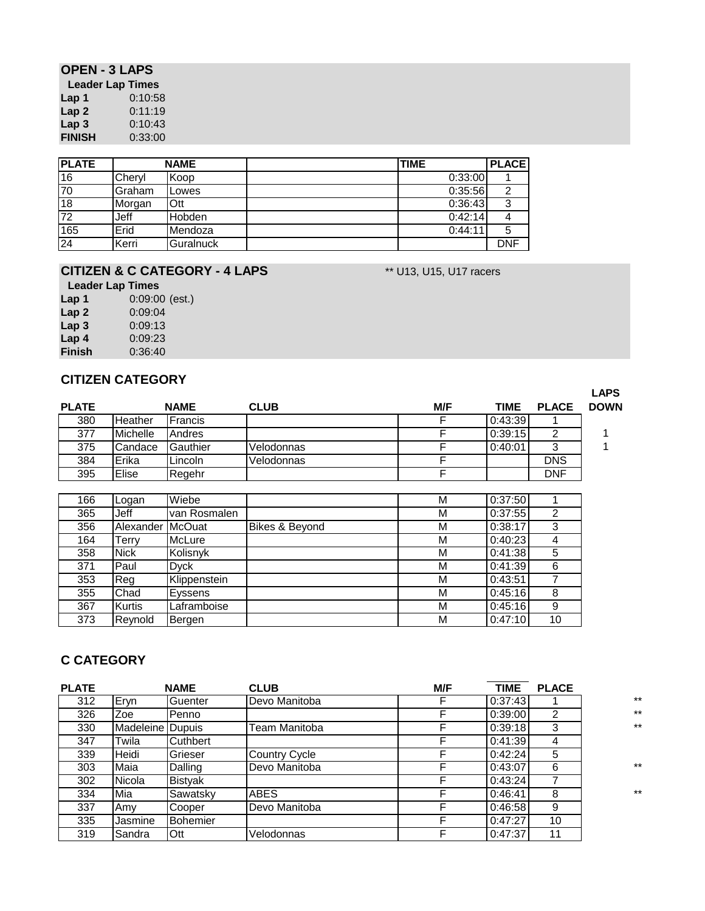### **OPEN - 3 LAPS**

| Leader Lap Times |         |
|------------------|---------|
| Lap 1            | 0:10:58 |
| Lap 2            | 0:11:19 |
| Lap 3            | 0:10:43 |
| <b>FINISH</b>    | 0:33:00 |

| <b>PLATE</b>    |        | <b>NAME</b>   | <b>TIME</b> | <b>PLACE</b> |
|-----------------|--------|---------------|-------------|--------------|
| 16              | Chervl | Koop          | 0:33:00     |              |
| 70              | Graham | Lowes         | 0:35:56     | ົ            |
| 18              | Morgan | Ott           | 0:36:43     | ົ            |
| $\overline{72}$ | Jeff   | <b>Hobden</b> | 0:42:14     | 4            |
| 165             | Erid   | Mendoza       | 0:44:11     | 5            |
| 24              | Kerri  | Guralnuck     |             | <b>DNF</b>   |

### **CITIZEN & C CATEGORY - 4 LAPS** \*\* U13, U15, U17 racers

#### **Leader Lap Times**

| Lap 1            | $0:09:00$ (est.) |
|------------------|------------------|
| Lap2             | 0:09:04          |
| Lap <sub>3</sub> | 0:09:13          |
| Lap <sub>4</sub> | 0:09:23          |
| <b>Finish</b>    | 0:36:40          |

### **CITIZEN CATEGORY**

|              |                 |             |             |     |             |              | <b>LAPS</b> |
|--------------|-----------------|-------------|-------------|-----|-------------|--------------|-------------|
| <b>PLATE</b> |                 | <b>NAME</b> | <b>CLUB</b> | M/F | <b>TIME</b> | <b>PLACE</b> | <b>DOWN</b> |
| 380          | Heather         | Francis     |             |     | 0:43:39     |              |             |
| 377          | <b>Michelle</b> | Andres      |             |     | 0:39:15     |              |             |
| 375          | Candace         | Gauthier    | Velodonnas  |     | 0:40:01     | 3            |             |
| 384          | Erika           | Lincoln     | Velodonnas  |     |             | <b>DNS</b>   |             |
| 395          | Elise           | Regehr      |             |     |             | <b>DNF</b>   |             |
|              |                 |             |             |     |             |              |             |

| 166 | Logan         | Wiebe         |                | М | 0:37:50 |    |
|-----|---------------|---------------|----------------|---|---------|----|
| 365 | Jeff          | van Rosmalen  |                | М | 0:37:55 |    |
| 356 | Alexander     | <b>McOuat</b> | Bikes & Beyond | М | 0:38:17 |    |
| 164 | <b>Terry</b>  | McLure        |                | М | 0:40:23 |    |
| 358 | <b>Nick</b>   | Kolisnyk      |                | М | 0:41:38 | 5  |
| 371 | Paul          | Dvck          |                | М | 0:41:39 | 6  |
| 353 | Reg           | Klippenstein  |                | М | 0:43:51 |    |
| 355 | Chad          | Eyssens       |                | М | 0:45:16 | 8  |
| 367 | <b>Kurtis</b> | Laframboise   |                | М | 0:45:16 | 9  |
| 373 | Reynold       | Bergen        |                | М | 0:47:10 | 10 |

## **C CATEGORY**

| <b>PLATE</b> |                  | <b>NAME</b>     | <b>CLUB</b>          | M/F | <b>TIME</b> | <b>PLACE</b> |       |
|--------------|------------------|-----------------|----------------------|-----|-------------|--------------|-------|
| 312          | Eryn             | Guenter         | Devo Manitoba        |     | 0:37:43     |              | $***$ |
| 326          | Zoe              | Penno           |                      |     | 0:39:00     | 2            | $***$ |
| 330          | Madeleine Dupuis |                 | Team Manitoba        |     | 0:39:18     | 3            | $***$ |
| 347          | Twila            | Cuthbert        |                      |     | 0:41:39     | 4            |       |
| 339          | Heidi            | Grieser         | <b>Country Cycle</b> |     | 0:42:24     | 5            |       |
| 303          | Maia             | Dalling         | Devo Manitoba        |     | 0:43:07     | 6            | $***$ |
| 302          | Nicola           | <b>Bistyak</b>  |                      |     | 0:43:24     | 7            |       |
| 334          | Mia              | Sawatsky        | <b>ABES</b>          |     | 0:46:41     | 8            | $***$ |
| 337          | Amv              | Cooper          | Devo Manitoba        |     | 0:46:58     | 9            |       |
| 335          | Jasmine          | <b>Bohemier</b> |                      |     | 0:47:27     | 10           |       |
| 319          | Sandra           | Ott             | Velodonnas           |     | 0:47:37     | 11           |       |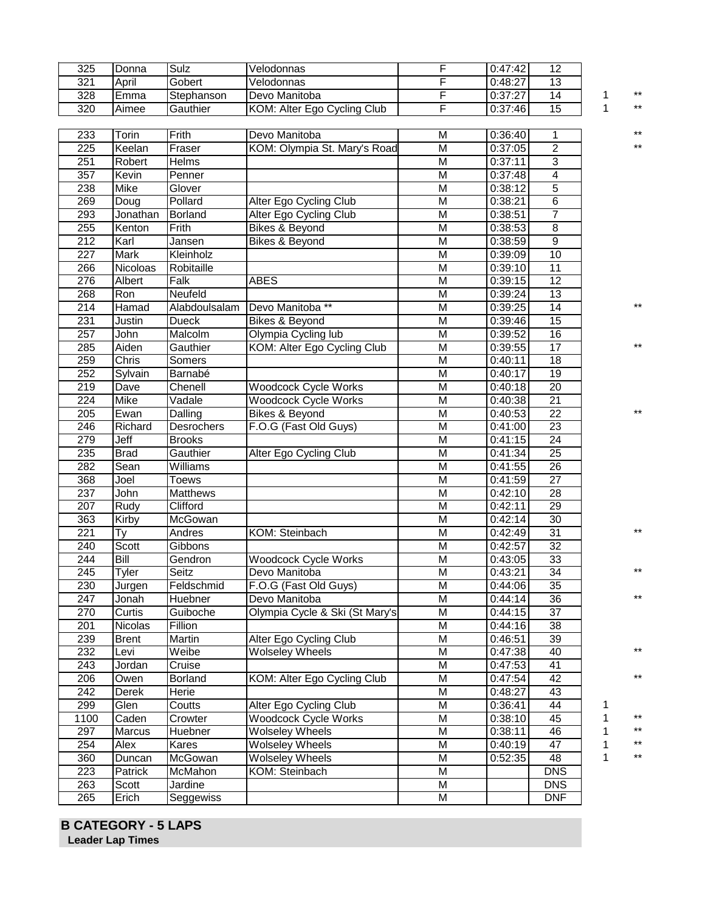| 325              | Donna               | Sulz                 | Velodonnas                     | F                       | 0:47:42 | $\overline{12}$          |   |                 |
|------------------|---------------------|----------------------|--------------------------------|-------------------------|---------|--------------------------|---|-----------------|
| 321              | April               | Gobert               | Velodonnas                     | F                       | 0:48:27 | 13                       |   |                 |
| 328              | Emma                | Stephanson           | Devo Manitoba                  | F                       | 0:37:27 | $\overline{14}$          | 1 | **              |
| 320              | Aimee               | Gauthier             | KOM: Alter Ego Cycling Club    | F                       | 0:37:46 | 15                       | 1 | $^{\star\star}$ |
|                  |                     |                      |                                |                         |         |                          |   |                 |
| 233              | Torin               | Frith                | Devo Manitoba                  | M                       | 0:36:40 | 1                        |   | **              |
| $\overline{225}$ | Keelan              | Fraser               | KOM: Olympia St. Mary's Road   | $\overline{M}$          | 0:37:05 | $\overline{2}$           |   | **              |
| 251              | Robert              | Helms                |                                | M                       | 0:37:11 | 3                        |   |                 |
| 357              | Kevin               | Penner               |                                | $\overline{M}$          | 0:37:48 | 4                        |   |                 |
| 238              | Mike                | Glover               |                                | M                       | 0:38:12 | $\overline{5}$           |   |                 |
| 269              | Doug                | Pollard              | Alter Ego Cycling Club         | M                       | 0:38:21 | 6                        |   |                 |
| 293              | Jonathan            | <b>Borland</b>       | Alter Ego Cycling Club         | $\overline{M}$          | 0:38:51 | $\overline{7}$           |   |                 |
| 255              | Kenton              | Frith                | Bikes & Beyond                 | $\overline{M}$          | 0:38:53 | $\overline{8}$           |   |                 |
| 212              | Karl                | Jansen               | Bikes & Beyond                 | M                       | 0:38:59 | $\overline{9}$           |   |                 |
| $\overline{227}$ | Mark                | Kleinholz            |                                | M                       | 0:39:09 | 10                       |   |                 |
| 266              | Nicoloas            | Robitaille           |                                | M                       | 0:39:10 | 11                       |   |                 |
| 276              | Albert              | Falk                 | <b>ABES</b>                    | M                       | 0:39:15 | 12                       |   |                 |
| 268              | Ron                 | Neufeld              |                                | $\overline{\mathsf{M}}$ | 0:39:24 | $\overline{13}$          |   |                 |
| $\overline{214}$ | Hamad               | Alabdoulsalam        | Devo Manitoba **               | M                       | 0:39:25 | 14                       |   | **              |
| 231              | Justin              | <b>Dueck</b>         | <b>Bikes &amp; Beyond</b>      | M                       | 0:39:46 | 15                       |   |                 |
| 257              | John                | Malcolm              | Olympia Cycling lub            | M                       | 0:39:52 | 16                       |   |                 |
| 285              | Aiden               | Gauthier             | KOM: Alter Ego Cycling Club    | M                       | 0:39:55 | 17                       |   |                 |
| 259              | <b>Chris</b>        | Somers               |                                | M                       | 0:40:11 | $\overline{18}$          |   |                 |
| 252              | Sylvain             | Barnabé              |                                | M                       | 0:40:17 | 19                       |   |                 |
| 219              | Dave                | Chenell              | <b>Woodcock Cycle Works</b>    | M                       | 0:40:18 | $\overline{20}$          |   |                 |
| $\overline{224}$ | Mike                | Vadale               | <b>Woodcock Cycle Works</b>    | $\overline{M}$          | 0:40:38 | 21                       |   |                 |
| 205              | Ewan                | Dalling              | <b>Bikes &amp; Beyond</b>      | $\overline{M}$          | 0:40:53 | $\overline{22}$          |   |                 |
| 246              | Richard             | <b>Desrochers</b>    |                                | M                       | 0:41:00 | 23                       |   |                 |
| 279              | Jeff                |                      | F.O.G (Fast Old Guys)          | $\overline{M}$          |         | $\overline{24}$          |   |                 |
|                  |                     | <b>Brooks</b>        |                                |                         | 0:41:15 |                          |   |                 |
| 235<br>282       | <b>Brad</b><br>Sean | Gauthier<br>Williams | Alter Ego Cycling Club         | M<br>M                  | 0:41:34 | $\overline{25}$<br>26    |   |                 |
|                  |                     |                      |                                | $\overline{M}$          | 0:41:55 | $\overline{27}$          |   |                 |
| 368              | Joel                | <b>Toews</b>         |                                |                         | 0:41:59 |                          |   |                 |
| 237              | John                | <b>Matthews</b>      |                                | M                       | 0:42:10 | 28                       |   |                 |
| 207              | Rudy                | Clifford             |                                | M                       | 0:42:11 | 29                       |   |                 |
| 363              | Kirby               | McGowan              |                                | M                       | 0:42:14 | 30                       |   | $***$           |
| $\overline{221}$ | Ty                  | Andres               | KOM: Steinbach                 | M                       | 0:42:49 | $\overline{31}$          |   |                 |
| 240              | Scott               | Gibbons              |                                | M                       | 0:42:57 | 32                       |   |                 |
| 244              | Bill                | Gendron              | <b>Woodcock Cycle Works</b>    | $\overline{M}$          | 0:43:05 | 33                       |   | $***$           |
| 245              | Tyler               |                      |                                |                         |         |                          |   |                 |
|                  |                     | Seitz                | Devo Manitoba                  | M                       | 0:43:21 | 34                       |   |                 |
| 230              | Jurgen              | Feldschmid           | F.O.G (Fast Old Guys)          | M                       | 0:44:06 | 35                       |   |                 |
| $\overline{247}$ | Jonah               | Huebner              | Devo Manitoba                  | M                       | 0:44:14 | $\overline{36}$          |   | **              |
| 270              | Curtis              | Guiboche             | Olympia Cycle & Ski (St Mary's | M                       | 0:44:15 | 37                       |   |                 |
| 201              | <b>Nicolas</b>      | Fillion              |                                | M                       | 0:44:16 | 38                       |   |                 |
| 239              | <b>Brent</b>        | Martin               | Alter Ego Cycling Club         | M                       | 0:46:51 | 39                       |   |                 |
| 232              | Levi                | Weibe                | <b>Wolseley Wheels</b>         | M                       | 0:47:38 | 40                       |   | $^{\star\star}$ |
| 243              | Jordan              | Cruise               |                                | $\overline{M}$          | 0:47:53 | 41                       |   |                 |
| 206              | Owen                | Borland              | KOM: Alter Ego Cycling Club    | M                       | 0:47:54 | 42                       |   | $^{\star\star}$ |
| $\overline{242}$ | Derek               | Herie                |                                | M                       | 0:48:27 | 43                       |   |                 |
| 299              | Glen                | Coutts               | Alter Ego Cycling Club         | $\overline{\mathsf{M}}$ | 0:36:41 | 44                       | 1 |                 |
| 1100             | Caden               | Crowter              | <b>Woodcock Cycle Works</b>    | M                       | 0:38:10 | 45                       | 1 | $***$           |
| 297              | Marcus              | Huebner              | <b>Wolseley Wheels</b>         | M                       | 0:38:11 | 46                       | 1 | $^{\star\star}$ |
| 254              | Alex                | Kares                | <b>Wolseley Wheels</b>         | M                       | 0:40:19 | 47                       | 1 | $^{\star\star}$ |
| 360              | Duncan              | McGowan              | <b>Wolseley Wheels</b>         | $\overline{\mathsf{M}}$ | 0:52:35 | 48                       | 1 | $^{\star\star}$ |
| 223              | Patrick             | McMahon              | KOM: Steinbach                 | $\overline{M}$          |         | <b>DNS</b>               |   |                 |
| 263<br>265       | Scott<br>Erich      | Jardine<br>Seggewiss |                                | M<br>$\overline{M}$     |         | <b>DNS</b><br><b>DNF</b> |   |                 |

**B CATEGORY - 5 LAPS Leader Lap Times**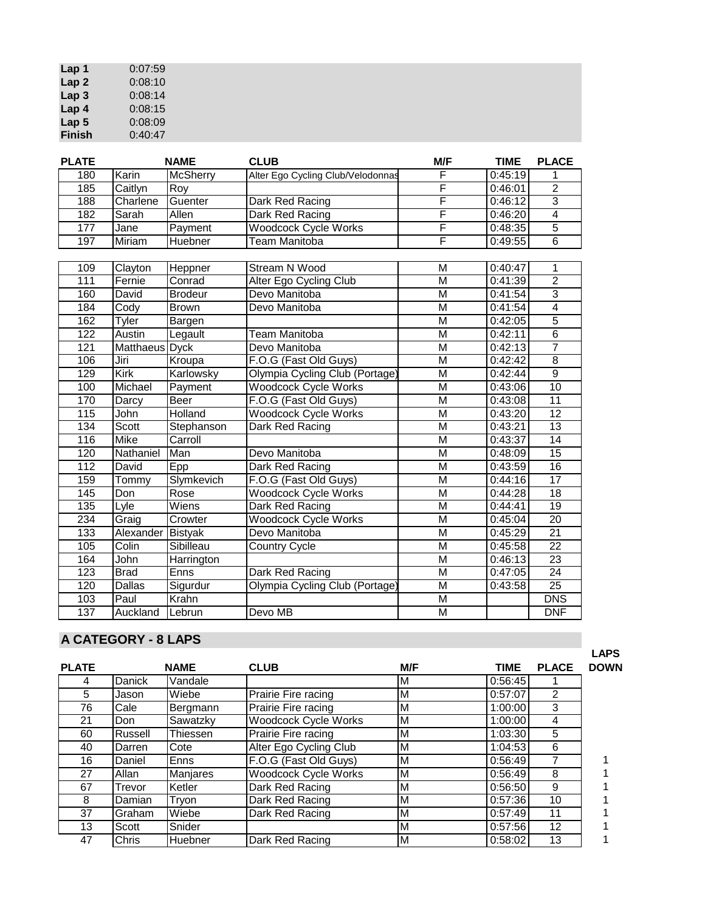| Lap 1            | 0:07:59 |
|------------------|---------|
| Lap <sub>2</sub> | 0:08:10 |
| Lap <sub>3</sub> | 0:08:14 |
| Lap 4            | 0:08:15 |
| Lap <sub>5</sub> | 0:08:09 |
| <b>Finish</b>    | 0:40:47 |

| <b>PLATE</b>     |                            | <b>NAME</b>     | <b>CLUB</b>                       | M/F                     | <b>TIME</b> | <b>PLACE</b>    |
|------------------|----------------------------|-----------------|-----------------------------------|-------------------------|-------------|-----------------|
| 180              | Karin                      | <b>McSherry</b> | Alter Ego Cycling Club/Velodonnas | F                       | 0:45:19     | 1               |
| 185              | Caitlyn                    | Roy             |                                   | F                       | 0:46:01     | $\overline{2}$  |
| 188              | Charlene                   | Guenter         | Dark Red Racing                   | F                       | 0:46:12     | $\overline{3}$  |
| 182              | Sarah                      | Allen           | Dark Red Racing                   | F                       | 0:46:20     | $\overline{4}$  |
| 177              | Jane                       | Payment         | <b>Woodcock Cycle Works</b>       | F                       | 0:48:35     | 5               |
| 197              | Miriam                     | Huebner         | <b>Team Manitoba</b>              | F                       | 0:49:55     | $\overline{6}$  |
|                  |                            |                 |                                   |                         |             |                 |
| 109              | Clayton                    | Heppner         | Stream N Wood                     | M                       | 0:40:47     | 1               |
| 111              | Fernie                     | Conrad          | <b>Alter Ego Cycling Club</b>     | M                       | 0:41:39     | $\overline{2}$  |
| 160              | David                      | <b>Brodeur</b>  | Devo Manitoba                     | $\overline{M}$          | 0:41:54     | $\overline{3}$  |
| 184              | Cody                       | <b>Brown</b>    | Devo Manitoba                     | $\overline{\mathsf{M}}$ | 0:41:54     | $\overline{4}$  |
| 162              | <b>Tyler</b>               | Bargen          |                                   | M                       | 0:42:05     | $\overline{5}$  |
| $\overline{122}$ | Austin                     | Legault         | <b>Team Manitoba</b>              | $\overline{\mathsf{M}}$ | 0:42:11     | $\overline{6}$  |
| 121              | Matthaeus Dyck             |                 | Devo Manitoba                     | $\overline{\mathsf{M}}$ | 0:42:13     | $\overline{7}$  |
| 106              | Jiri                       | Kroupa          | F.O.G (Fast Old Guys)             | $\overline{\mathsf{M}}$ | 0:42:42     | $\overline{8}$  |
| 129              | <b>Kirk</b>                | Karlowsky       | Olympia Cycling Club (Portage)    | M                       | 0:42:44     | $\overline{9}$  |
| 100              | Michael                    | Payment         | <b>Woodcock Cycle Works</b>       | M                       | 0:43:06     | 10              |
| 170              | Darcy                      | Beer            | F.O.G (Fast Old Guys)             | M                       | 0:43:08     | $\overline{11}$ |
| 115              | John                       | Holland         | <b>Woodcock Cycle Works</b>       | M                       | 0:43:20     | 12              |
| 134              | Scott                      | Stephanson      | Dark Red Racing                   | M                       | 0:43:21     | 13              |
| 116              | Mike                       | Carroll         |                                   | M                       | 0:43:37     | $\overline{14}$ |
| 120              | Nathaniel                  | Man             | Devo Manitoba                     | $\overline{\mathsf{M}}$ | 0:48:09     | $\overline{15}$ |
| 112              | David                      | Epp             | Dark Red Racing                   | M                       | 0:43:59     | 16              |
| 159              | Tommy                      | Slymkevich      | F.O.G (Fast Old Guys)             | $\overline{\mathsf{M}}$ | 0:44:16     | $\overline{17}$ |
| 145              | Don                        | Rose            | <b>Woodcock Cycle Works</b>       | $\overline{\mathsf{M}}$ | 0:44:28     | $\overline{18}$ |
| 135              | Lyle                       | Wiens           | Dark Red Racing                   | M                       | 0:44:41     | $\overline{19}$ |
| 234              | Graig                      | Crowter         | <b>Woodcock Cycle Works</b>       | M                       | 0:45:04     | 20              |
| 133              | Alexander                  | Bistyak         | Devo Manitoba                     | $\overline{M}$          | 0:45:29     | $\overline{21}$ |
| 105              | $\overline{\text{Col}}$ in | Sibilleau       | <b>Country Cycle</b>              | $\overline{M}$          | 0:45:58     | $\overline{22}$ |
| 164              | John                       | Harrington      |                                   | M                       | 0:46:13     | 23              |
| 123              | <b>Brad</b>                | Enns            | Dark Red Racing                   | $\overline{\mathsf{M}}$ | 0:47:05     | $\overline{24}$ |
| 120              | <b>Dallas</b>              | Sigurdur        | Olympia Cycling Club (Portage)    | $\overline{\mathsf{M}}$ | 0:43:58     | $\overline{25}$ |
| 103              | Paul                       | Krahn           |                                   | $\overline{\mathsf{M}}$ |             | <b>DNS</b>      |
| 137              | Auckland                   | Lebrun          | Devo MB                           | M                       |             | <b>DNF</b>      |

# **A CATEGORY - 8 LAPS**

|              |               |                |                             |     |         |              | --        |
|--------------|---------------|----------------|-----------------------------|-----|---------|--------------|-----------|
| <b>PLATE</b> |               | <b>NAME</b>    | <b>CLUB</b>                 | M/F | TIME    | <b>PLACE</b> | <b>DO</b> |
|              | <b>Danick</b> | Vandale        |                             | М   | 0:56:45 |              |           |
| 5            | Jason         | Wiebe          | Prairie Fire racing         | М   | 0:57:07 | 2            |           |
| 76           | Cale          | Bergmann       | Prairie Fire racing         | М   | 1:00:00 | 3            |           |
| 21           | Don           | Sawatzky       | <b>Woodcock Cycle Works</b> | М   | 1:00:00 | 4            |           |
| 60           | Russell       | Thiessen       | Prairie Fire racing         | М   | 1:03:30 | 5            |           |
| 40           | Darren        | Cote           | Alter Ego Cycling Club      | М   | 1:04:53 | 6            |           |
| 16           | Daniel        | Enns           | F.O.G (Fast Old Guys)       | М   | 0:56:49 |              |           |
| 27           | Allan         | Manjares       | <b>Woodcock Cycle Works</b> | М   | 0:56:49 | 8            |           |
| 67           | Trevor        | Ketler         | Dark Red Racing             | М   | 0:56:50 | 9            |           |
| 8            | Damian        | Tryon          | Dark Red Racing             | М   | 0:57:36 | 10           |           |
| 37           | Graham        | Wiebe          | Dark Red Racing             | М   | 0:57:49 | 11           |           |
| 13           | Scott         | Snider         |                             | М   | 0:57:56 | 12           |           |
| 47           | Chris         | <b>Huebner</b> | Dark Red Racing             | М   | 0:58:02 | 13           |           |

**LAPS DOWN**